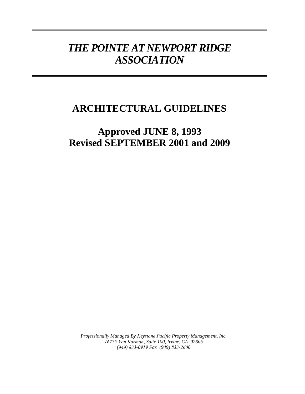# *THE POINTE AT NEWPORT RIDGE ASSOCIATION*

## **ARCHITECTURAL GUIDELINES**

## **Approved JUNE 8, 1993 Revised SEPTEMBER 2001 and 2009**

*Professionally Managed By Keystone Pacific Property Management, Inc. 16775 Von Karman, Suite 100, Irvine, CA 92606 (949) 833-0919 Fax (949) 833-2600*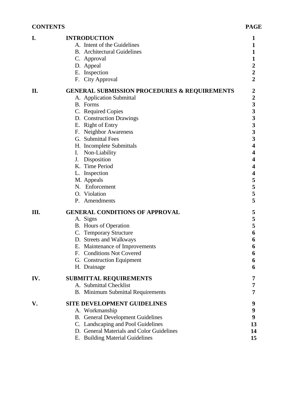| <b>CONTENTS</b> |                                                                                                                                                                                                                                                                                                                                                                                               | <b>PAGE</b>                                                                              |
|-----------------|-----------------------------------------------------------------------------------------------------------------------------------------------------------------------------------------------------------------------------------------------------------------------------------------------------------------------------------------------------------------------------------------------|------------------------------------------------------------------------------------------|
| I.              | <b>INTRODUCTION</b><br>A. Intent of the Guidelines<br><b>B.</b> Architectural Guidelines<br>C. Approval<br>D. Appeal<br>E. Inspection<br>F. City Approval                                                                                                                                                                                                                                     | 1<br>1<br>1<br>1<br>$\overline{2}$<br>$\overline{2}$<br>$\overline{2}$                   |
| П.              | <b>GENERAL SUBMISSION PROCEDURES &amp; REQUIREMENTS</b><br>A. Application Submittal<br>B. Forms<br>C. Required Copies<br>D. Construction Drawings<br>E. Right of Entry<br>F. Neighbor Awareness<br>G. Submittal Fees<br>H. Incomplete Submittals<br>I. Non-Liability<br>Disposition<br>J.<br>K. Time Period<br>L. Inspection<br>M. Appeals<br>N. Enforcement<br>O. Violation<br>P. Amendments | $\boldsymbol{2}$<br>$2333$<br>$333$<br>$33$<br>4<br>4<br>4<br>4<br>4<br>5<br>5<br>5<br>5 |
| Ш.              | <b>GENERAL CONDITIONS OF APPROVAL</b><br>A. Signs<br>B. Hours of Operation<br>C. Temporary Structure<br>D. Streets and Walkways<br>E. Maintenance of Improvements<br>F. Conditions Not Covered<br>G. Construction Equipment<br>H. Drainage                                                                                                                                                    | 5<br>$\frac{5}{5}$<br>6<br>6<br>6<br>6<br>6<br>6                                         |
| IV.             | <b>SUBMITTAL REQUIREMENTS</b><br>A. Submittal Checklist<br><b>B.</b> Minimum Submittal Requirements                                                                                                                                                                                                                                                                                           | 7<br>7<br>7                                                                              |
| V.              | <b>SITE DEVELOPMENT GUIDELINES</b><br>A. Workmanship<br><b>B.</b> General Development Guidelines<br>C. Landscaping and Pool Guidelines<br>D. General Materials and Color Guidelines<br>E. Building Material Guidelines                                                                                                                                                                        | 9<br>9<br>9<br>13<br>14<br>15                                                            |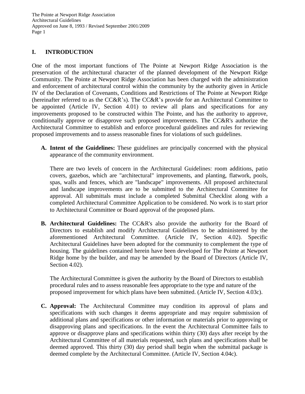### **I. INTRODUCTION**

One of the most important functions of The Pointe at Newport Ridge Association is the preservation of the architectural character of the planned development of the Newport Ridge Community. The Pointe at Newport Ridge Association has been charged with the administration and enforcement of architectural control within the community by the authority given in Article IV of the Declaration of Covenants, Conditions and Restrictions of The Pointe at Newport Ridge (hereinafter referred to as the CC&R's). The CC&R's provide for an Architectural Committee to be appointed (Article IV, Section 4.01) to review all plans and specifications for any improvements proposed to be constructed within The Pointe, and has the authority to approve, conditionally approve or disapprove such proposed improvements. The CC&R's authorize the Architectural Committee to establish and enforce procedural guidelines and rules for reviewing proposed improvements and to assess reasonable fines for violations of such guidelines.

**A. Intent of the Guidelines:** These guidelines are principally concerned with the physical appearance of the community environment.

There are two levels of concern in the Architectural Guidelines: room additions, patio covers, gazebos, which are "architectural" improvements, and planting, flatwork, pools, spas, walls and fences, which are "landscape" improvements. All proposed architectural and landscape improvements are to be submitted to the Architectural Committee for approval. All submittals must include a completed Submittal Checklist along with a completed Architectural Committee Application to be considered. No work is to start prior to Architectural Committee or Board approval of the proposed plans.

**B. Architectural Guidelines:** The CC&R's also provide the authority for the Board of Directors to establish and modify Architectural Guidelines to be administered by the aforementioned Architectural Committee. (Article IV, Section 4.02). Specific Architectural Guidelines have been adopted for the community to complement the type of housing. The guidelines contained herein have been developed for The Pointe at Newport Ridge home by the builder, and may be amended by the Board of Directors (Article IV, Section 4.02).

The Architectural Committee is given the authority by the Board of Directors to establish procedural rules and to assess reasonable fees appropriate to the type and nature of the proposed improvement for which plans have been submitted. (Article IV, Section 4.03c).

**C. Approval:** The Architectural Committee may condition its approval of plans and specifications with such changes it deems appropriate and may require submission of additional plans and specifications or other information or materials prior to approving or disapproving plans and specifications. In the event the Architectural Committee fails to approve or disapprove plans and specifications within thirty (30) days after receipt by the Architectural Committee of all materials requested, such plans and specifications shall be deemed approved. This thirty (30) day period shall begin when the submittal package is deemed complete by the Architectural Committee. (Article IV, Section 4.04c).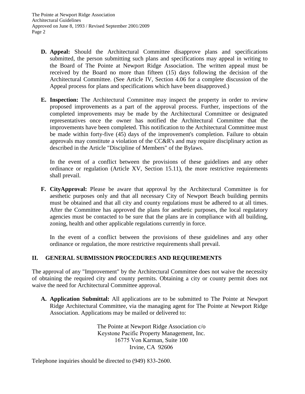- **D. Appeal:** Should the Architectural Committee disapprove plans and specifications submitted, the person submitting such plans and specifications may appeal in writing to the Board of The Pointe at Newport Ridge Association. The written appeal must be received by the Board no more than fifteen (15) days following the decision of the Architectural Committee. (See Article IV, Section 4.06 for a complete discussion of the Appeal process for plans and specifications which have been disapproved.)
- **E. Inspection:** The Architectural Committee may inspect the property in order to review proposed improvements as a part of the approval process. Further, inspections of the completed improvements may be made by the Architectural Committee or designated representatives once the owner has notified the Architectural Committee that the improvements have been completed. This notification to the Architectural Committee must be made within forty-five (45) days of the improvement's completion. Failure to obtain approvals may constitute a violation of the CC&R's and may require disciplinary action as described in the Article "Discipline of Members" of the Bylaws.

In the event of a conflict between the provisions of these guidelines and any other ordinance or regulation (Article XV, Section 15.11), the more restrictive requirements shall prevail.

**F. CityApproval:** Please be aware that approval by the Architectural Committee is for aesthetic purposes only and that all necessary City of Newport Beach building permits must be obtained and that all city and county regulations must be adhered to at all times. After the Committee has approved the plans for aesthetic purposes, the local regulatory agencies must be contacted to be sure that the plans are in compliance with all building, zoning, health and other applicable regulations currently in force.

In the event of a conflict between the provisions of these guidelines and any other ordinance or regulation, the more restrictive requirements shall prevail.

#### **II. GENERAL SUBMISSION PROCEDURES AND REQUIREMENTS**

The approval of any "Improvement" by the Architectural Committee does not waive the necessity of obtaining the required city and county permits. Obtaining a city or county permit does not waive the need for Architectural Committee approval.

**A. Application Submittal:** All applications are to be submitted to The Pointe at Newport Ridge Architectural Committee, via the managing agent for The Pointe at Newport Ridge Association. Applications may be mailed or delivered to:

> The Pointe at Newport Ridge Association c/o Keystone Pacific Property Management, Inc. 16775 Von Karman, Suite 100 Irvine, CA 92606

Telephone inquiries should be directed to (949) 833-2600.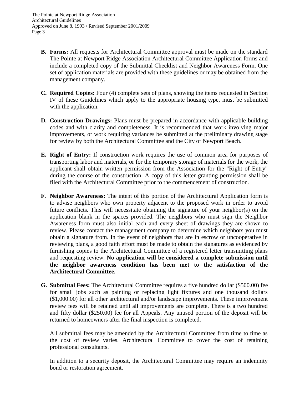- **B. Forms:** All requests for Architectural Committee approval must be made on the standard The Pointe at Newport Ridge Association Architectural Committee Application forms and include a completed copy of the Submittal Checklist and Neighbor Awareness Form. One set of application materials are provided with these guidelines or may be obtained from the management company.
- **C. Required Copies:** Four (4) complete sets of plans, showing the items requested in Section IV of these Guidelines which apply to the appropriate housing type, must be submitted with the application.
- **D. Construction Drawings:** Plans must be prepared in accordance with applicable building codes and with clarity and completeness. It is recommended that work involving major improvements, or work requiring variances be submitted at the preliminary drawing stage for review by both the Architectural Committee and the City of Newport Beach.
- **E. Right of Entry:** If construction work requires the use of common area for purposes of transporting labor and materials, or for the temporary storage of materials for the work, the applicant shall obtain written permission from the Association for the "Right of Entry" during the course of the construction. A copy of this letter granting permission shall be filed with the Architectural Committee prior to the commencement of construction.
- **F. Neighbor Awareness:** The intent of this portion of the Architectural Application form is to advise neighbors who own property adjacent to the proposed work in order to avoid future conflicts. This will necessitate obtaining the signature of your neighbor(s) on the application blank in the spaces provided. The neighbors who must sign the Neighbor Awareness form must also initial each and every sheet of drawings they are shown to review. Please contact the management company to determine which neighbors you must obtain a signature from. In the event of neighbors that are in escrow or uncooperative in reviewing plans, a good faith effort must be made to obtain the signatures as evidenced by furnishing copies to the Architectural Committee of a registered letter transmitting plans and requesting review. **No application will be considered a complete submission until the neighbor awareness condition has been met to the satisfaction of the Architectural Committee.**
- **G. Submittal Fees:** The Architectural Committee requires a five hundred dollar (\$500.00) fee for small jobs such as painting or replacing light fixtures and one thousand dollars (\$1,000.00) for all other architectural and/or landscape improvements. These improvement review fees will be retained until all improvements are complete. There is a two hundred and fifty dollar (\$250.00) fee for all Appeals. Any unused portion of the deposit will be returned to homeowners after the final inspection is completed.

All submittal fees may be amended by the Architectural Committee from time to time as the cost of review varies. Architectural Committee to cover the cost of retaining professional consultants.

In addition to a security deposit, the Architectural Committee may require an indemnity bond or restoration agreement.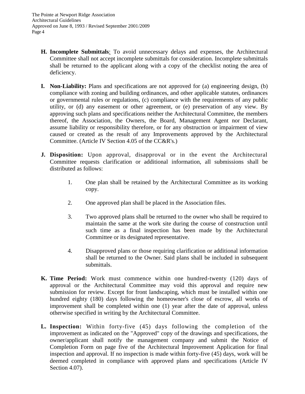- **H. Incomplete Submittals**: To avoid unnecessary delays and expenses, the Architectural Committee shall not accept incomplete submittals for consideration. Incomplete submittals shall be returned to the applicant along with a copy of the checklist noting the area of deficiency.
- **I. Non-Liability:** Plans and specifications are not approved for (a) engineering design, (b) compliance with zoning and building ordinances, and other applicable statutes, ordinances or governmental rules or regulations, (c) compliance with the requirements of any public utility, or (d) any easement or other agreement, or (e) preservation of any view. By approving such plans and specifications neither the Architectural Committee, the members thereof, the Association, the Owners, the Board, Management Agent nor Declarant, assume liability or responsibility therefore, or for any obstruction or impairment of view caused or created as the result of any Improvements approved by the Architectural Committee. (Article IV Section 4.05 of the CC&R's.)
- **J. Disposition:** Upon approval, disapproval or in the event the Architectural Committee requests clarification or additional information, all submissions shall be distributed as follows:
	- 1. One plan shall be retained by the Architectural Committee as its working copy.
	- 2. One approved plan shall be placed in the Association files.
	- 3. Two approved plans shall be returned to the owner who shall be required to maintain the same at the work site during the course of construction until such time as a final inspection has been made by the Architectural Committee or its designated representative.
	- 4. Disapproved plans or those requiring clarification or additional information shall be returned to the Owner. Said plans shall be included in subsequent submittals.
- **K. Time Period:** Work must commence within one hundred-twenty (120) days of approval or the Architectural Committee may void this approval and require new submission for review. Except for front landscaping, which must be installed within one hundred eighty (180) days following the homeowner's close of escrow, all works of improvement shall be completed within one (1) year after the date of approval, unless otherwise specified in writing by the Architectural Committee.
- **L. Inspection:** Within forty-five (45) days following the completion of the improvement as indicated on the "Approved" copy of the drawings and specifications, the owner/applicant shall notify the management company and submit the Notice of Completion Form on page five of the Architectural Improvement Application for final inspection and approval. If no inspection is made within forty-five (45) days, work will be deemed completed in compliance with approved plans and specifications (Article IV Section 4.07).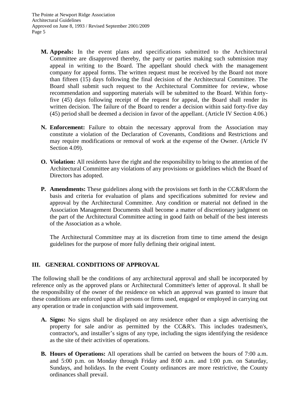- **M. Appeals:** In the event plans and specifications submitted to the Architectural Committee are disapproved thereby, the party or parties making such submission may appeal in writing to the Board. The appellant should check with the management company for appeal forms. The written request must be received by the Board not more than fifteen (15) days following the final decision of the Architectural Committee. The Board shall submit such request to the Architectural Committee for review, whose recommendation and supporting materials will be submitted to the Board. Within fortyfive (45) days following receipt of the request for appeal, the Board shall render its written decision. The failure of the Board to render a decision within said forty-five day (45) period shall be deemed a decision in favor of the appellant. (Article IV Section 4.06.)
- **N. Enforcement:** Failure to obtain the necessary approval from the Association may constitute a violation of the Declaration of Covenants, Conditions and Restrictions and may require modifications or removal of work at the expense of the Owner. (Article IV Section 4.09).
- **O. Violation:** All residents have the right and the responsibility to bring to the attention of the Architectural Committee any violations of any provisions or guidelines which the Board of Directors has adopted.
- **P. Amendments:** These guidelines along with the provisions set forth in the CC&R'sform the basis and criteria for evaluation of plans and specifications submitted for review and approval by the Architectural Committee. Any condition or material not defined in the Association Management Documents shall become a matter of discretionary judgment on the part of the Architectural Committee acting in good faith on behalf of the best interests of the Association as a whole.

The Architectural Committee may at its discretion from time to time amend the design guidelines for the purpose of more fully defining their original intent.

#### **III. GENERAL CONDITIONS OF APPROVAL**

The following shall be the conditions of any architectural approval and shall be incorporated by reference only as the approved plans or Architectural Committee's letter of approval. It shall be the responsibility of the owner of the residence on which an approval was granted to insure that these conditions are enforced upon all persons or firms used, engaged or employed in carrying out any operation or trade in conjunction with said improvement.

- **A. Signs:** No signs shall be displayed on any residence other than a sign advertising the property for sale and/or as permitted by the CC&R's. This includes tradesmen's, contractor's, and installer's signs of any type, including the signs identifying the residence as the site of their activities of operations.
- **B. Hours of Operations:** All operations shall be carried on between the hours of 7:00 a.m. and 5:00 p.m. on Monday through Friday and 8:00 a.m. and 1:00 p.m. on Saturday, Sundays, and holidays. In the event County ordinances are more restrictive, the County ordinances shall prevail.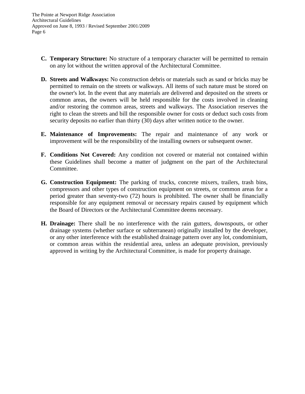- **C. Temporary Structure:** No structure of a temporary character will be permitted to remain on any lot without the written approval of the Architectural Committee.
- **D. Streets and Walkways:** No construction debris or materials such as sand or bricks may be permitted to remain on the streets or walkways. All items of such nature must be stored on the owner's lot. In the event that any materials are delivered and deposited on the streets or common areas, the owners will be held responsible for the costs involved in cleaning and/or restoring the common areas, streets and walkways. The Association reserves the right to clean the streets and bill the responsible owner for costs or deduct such costs from security deposits no earlier than thirty (30) days after written notice to the owner.
- **E. Maintenance of Improvements:** The repair and maintenance of any work or improvement will be the responsibility of the installing owners or subsequent owner.
- **F. Conditions Not Covered:** Any condition not covered or material not contained within these Guidelines shall become a matter of judgment on the part of the Architectural Committee.
- **G. Construction Equipment:** The parking of trucks, concrete mixers, trailers, trash bins, compressors and other types of construction equipment on streets, or common areas for a period greater than seventy-two (72) hours is prohibited. The owner shall be financially responsible for any equipment removal or necessary repairs caused by equipment which the Board of Directors or the Architectural Committee deems necessary.
- **H. Drainage:** There shall be no interference with the rain gutters, downspouts, or other drainage systems (whether surface or subterranean) originally installed by the developer, or any other interference with the established drainage pattern over any lot, condominium, or common areas within the residential area, unless an adequate provision, previously approved in writing by the Architectural Committee, is made for property drainage.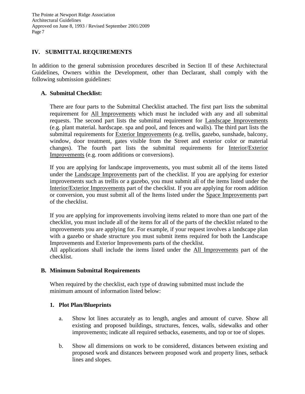### **IV. SUBMITTAL REQUIREMENTS**

In addition to the general submission procedures described in Section II of these Architectural Guidelines, Owners within the Development, other than Declarant, shall comply with the following submission guidelines:

### **A. Submittal Checklist:**

There are four parts to the Submittal Checklist attached. The first part lists the submittal requirement for All Improvements which must he included with any and all submittal requests. The second part lists the submittal requirement for Landscape Improvements (e.g. plant material. hardscape. spa and pool, and fences and walls). The third part lists the submittal requirements for Exterior Improvements (e.g. trellis, gazebo, sunshade, balcony, window, door treatment, gates visible from the Street and exterior color or material changes). The fourth part lists the submittal requirements for Interior/Exterior Improvements (e.g. room additions or conversions).

If you are applying for landscape improvements, you must submit all of the items listed under the Landscape Improvements part of the checklist. If you are applying for exterior improvements such as trellis or a gazebo, you must submit all of the items listed under the Interior/Exterior Improvements part of the checklist. If you are applying for room addition or conversion, you must submit all of the Items listed under the Space Improvements part of the checklist.

If you are applying for improvements involving items related to more than one part of the checklist, you must include all of the items for all of the parts of the checklist related to the improvements you are applying for. For example, if your request involves a landscape plan with a gazebo or shade structure you must submit items required for both the Landscape Improvements and Exterior Improvements parts of the checklist.

All applications shall include the items listed under the All Improvements part of the checklist.

#### **B. Minimum Submittal Requirements**

When required by the checklist, each type of drawing submitted must include the minimum amount of information listed below:

#### **1. Plot Plan/Blueprints**

- a. Show lot lines accurately as to length, angles and amount of curve. Show all existing and proposed buildings, structures, fences, walls, sidewalks and other improvements; indicate all required setbacks, easements, and top or toe of slopes.
- b. Show all dimensions on work to be considered, distances between existing and proposed work and distances between proposed work and property lines, setback lines and slopes.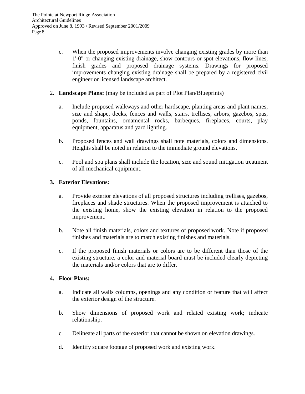- c. When the proposed improvements involve changing existing grades by more than 1'-0" or changing existing drainage, show contours or spot elevations, flow lines, finish grades and proposed drainage systems. Drawings for proposed improvements changing existing drainage shall be prepared by a registered civil engineer or licensed landscape architect.
- 2. **Landscape Plans:** (may be included as part of Plot Plan/Blueprints)
	- a. Include proposed walkways and other hardscape, planting areas and plant names, size and shape, decks, fences and walls, stairs, trellises, arbors, gazebos, spas, ponds, fountains, ornamental rocks, barbeques, fireplaces, courts, play equipment, apparatus and yard lighting.
	- b. Proposed fences and wall drawings shall note materials, colors and dimensions. Heights shall be noted in relation to the immediate ground elevations.
	- c. Pool and spa plans shall include the location, size and sound mitigation treatment of all mechanical equipment.

#### **3. Exterior Elevations:**

- a. Provide exterior elevations of all proposed structures including trellises, gazebos, fireplaces and shade structures. When the proposed improvement is attached to the existing home, show the existing elevation in relation to the proposed improvement.
- b. Note all finish materials, colors and textures of proposed work. Note if proposed finishes and materials are to match existing finishes and materials.
- c. If the proposed finish materials or colors are to be different than those of the existing structure, a color and material board must be included clearly depicting the materials and/or colors that are to differ.

#### **4. Floor Plans:**

- a. Indicate all walls columns, openings and any condition or feature that will affect the exterior design of the structure.
- b. Show dimensions of proposed work and related existing work; indicate relationship.
- c. Delineate all parts of the exterior that cannot be shown on elevation drawings.
- d. Identify square footage of proposed work and existing work.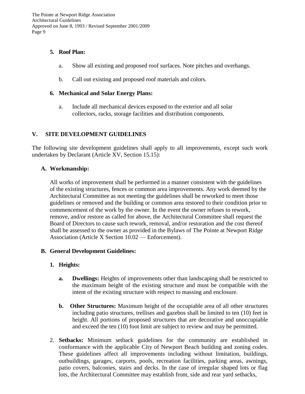#### **5. Roof Plan:**

- a. Show all existing and proposed roof surfaces. Note pitches and overhangs.
- b. Call out existing and proposed roof materials and colors.

#### **6. Mechanical and Solar Energy Plans:**

a. Include all mechanical devices exposed to the exterior and all solar collectors, racks, storage facilities and distribution components.

#### **V. SITE DEVELOPMENT GUIDELINES**

The following site development guidelines shall apply to all improvements, except such work undertaken by Declarant (Article XV, Section 15.15):

#### **A. Workmanship:**

All works of improvement shall be performed in a manner consistent with the guidelines of the existing structures, fences or common area improvements. Any work deemed by the Architectural Committee as not meeting the guidelines shall be reworked to meet those guidelines or removed and the building or common area restored to their condition prior to commencement of the work by the owner. In the event the owner refuses to rework, remove, and/or restore as called for above, the Architectural Committee shall request the Board of Directors to cause such rework, removal, and/or restoration and the cost thereof shall be assessed to the owner as provided in the Bylaws of The Pointe at Newport Ridge Association (Article X Section 10.02 — Enforcement).

#### **B. General Development Guidelines:**

#### **1. Heights:**

- **a. Dwellings:** Heights of improvements other than landscaping shall be restricted to the maximum height of the existing structure and must be compatible with the intent of the existing structure with respect to massing and enclosure.
- **b. Other Structures:** Maximum height of the occupiable area of all other structures including patio structures, trellises and gazebos shall be limited to ten (10) feet in height. All portions of proposed structures that are decorative and unoccupiable and exceed the ten (10) foot limit are subject to review and may be permitted.
- 2. **Setbacks:** Minimum setback guidelines for the community are established in conformance with the applicable City of Newport Beach building and zoning codes. These guidelines affect all improvements including without limitation, buildings, outbuildings, garages, carports, pools, recreation facilities, parking areas, awnings, patio covers, balconies, stairs and decks. In the case of irregular shaped lots or flag lots, the Architectural Committee may establish front, side and rear yard setbacks,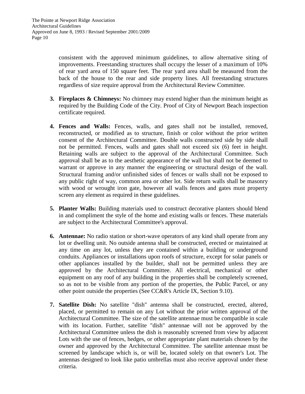consistent with the approved minimum guidelines, to allow alternative siting of improvements. Freestanding structures shall occupy the lesser of a maximum of 10% of rear yard area of 150 square feet. The rear yard area shall be measured from the back of the house to the rear and side property lines. All freestanding structures regardless of size require approval from the Architectural Review Committee.

- **3. Fireplaces & Chimneys:** No chimney may extend higher than the minimum height as required by the Building Code of the City. Proof of City of Newport Beach inspection certificate required.
- **4. Fences and Walls:** Fences, walls, and gates shall not be installed, removed, reconstructed, or modified as to structure, finish or color without the prior written consent of the Architectural Committee. Double walls constructed side by side shall not be permitted. Fences, walls and gates shall not exceed six (6) feet in height. Retaining walls are subject to the approval of the Architectural Committee. Such approval shall be as to the aesthetic appearance of the wall but shall not be deemed to warrant or approve in any manner the engineering or structural design of the wall. Structural framing and/or unfinished sides of fences or walls shall not be exposed to any public right of way, common area or other lot. Side return walls shall be masonry with wood or wrought iron gate, however all walls fences and gates must property screen any element as required in these guidelines.
- **5. Planter Walls:** Building materials used to construct decorative planters should blend in and compliment the style of the home and existing walls or fences. These materials are subject to the Architectural Committee's approval.
- **6. Antennae:** No radio station or short-wave operators of any kind shall operate from any lot or dwelling unit. No outside antenna shall be constructed, erected or maintained at any time on any lot, unless they are contained within a building or underground conduits. Appliances or installations upon roofs of structure, except for solar panels or other appliances installed by the builder, shall not be permitted unless they are approved by the Architectural Committee. All electrical, mechanical or other equipment on any roof of any building in the properties shall be completely screened, so as not to be visible from any portion of the properties, the Public Parcel, or any other point outside the properties (See CC&R's Article IX, Section 9.10).
- **7. Satellite Dish:** No satellite "dish" antenna shall be constructed, erected, altered, placed, or permitted to remain on any Lot without the prior written approval of the Architectural Committee. The size of the satellite antennae must be compatible in scale with its location. Further, satellite "dish" antennae will not be approved by the Architectural Committee unless the dish is reasonably screened from view by adjacent Lots with the use of fences, hedges, or other appropriate plant materials chosen by the owner and approved by the Architectural Committee. The satellite antennae must be screened by landscape which is, or will be, located solely on that owner's Lot. The antennas designed to look like patio umbrellas must also receive approval under these criteria.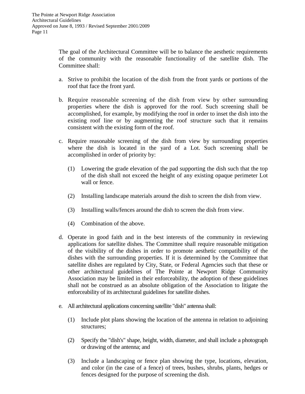The goal of the Architectural Committee will be to balance the aesthetic requirements of the community with the reasonable functionality of the satellite dish. The Committee shall:

- a. Strive to prohibit the location of the dish from the front yards or portions of the roof that face the front yard.
- b. Require reasonable screening of the dish from view by other surrounding properties where the dish is approved for the roof. Such screening shall be accomplished, for example, by modifying the roof in order to inset the dish into the existing roof line or by augmenting the roof structure such that it remains consistent with the existing form of the roof.
- c. Require reasonable screening of the dish from view by surrounding properties where the dish is located in the yard of a Lot. Such screening shall be accomplished in order of priority by:
	- (1) Lowering the grade elevation of the pad supporting the dish such that the top of the dish shall not exceed the height of any existing opaque perimeter Lot wall or fence.
	- (2) Installing landscape materials around the dish to screen the dish from view.
	- (3) Installing walls/fences around the dish to screen the dish from view.
	- (4) Combination of the above.
- d. Operate in good faith and in the best interests of the community in reviewing applications for satellite dishes. The Committee shall require reasonable mitigation of the visibility of the dishes in order to promote aesthetic compatibility of the dishes with the surrounding properties. If it is determined by the Committee that satellite dishes are regulated by City, State, or Federal Agencies such that these or other architectural guidelines of The Pointe at Newport Ridge Community Association may be limited in their enforceability, the adoption of these guidelines shall not be construed as an absolute obligation of the Association to litigate the enforceability of its architectural guidelines for satellite dishes.
- e. All architectural applications concerning satellite "dish" antenna shall:
	- (1) Include plot plans showing the location of the antenna in relation to adjoining structures;
	- (2) Specify the "dish's" shape, height, width, diameter, and shall include a photograph or drawing of the antenna; and
	- (3) Include a landscaping or fence plan showing the type, locations, elevation, and color (in the case of a fence) of trees, bushes, shrubs, plants, hedges or fences designed for the purpose of screening the dish.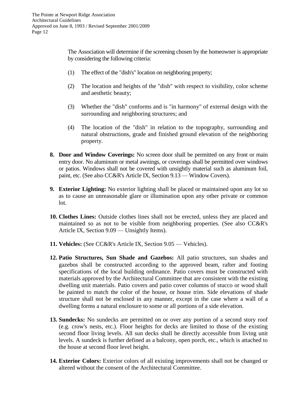The Association will determine if the screening chosen by the homeowner is appropriate by considering the following criteria:

- (1) The effect of the "dish's" location on neighboring property;
- (2) The location and heights of the "dish" with respect to visibility, color scheme and aesthetic beauty;
- (3) Whether the "dish" conforms and is "in harmony" of external design with the surrounding and neighboring structures; and
- (4) The location of the "dish" in relation to the topography, surrounding and natural obstructions, grade and finished ground elevation of the neighboring property.
- **8. Door and Window Coverings:** No screen door shall be permitted on any front or main entry door. No aluminum or metal awnings, or coverings shall be permitted over windows or patios. Windows shall not be covered with unsightly material such as aluminum foil, paint, etc. (See also CC&R's Article IX, Section 9.13 — Window Covers).
- **9. Exterior Lighting:** No exterior lighting shall be placed or maintained upon any lot so as to cause an unreasonable glare or illumination upon any other private or common lot.
- **10. Clothes Lines:** Outside clothes lines shall not be erected, unless they are placed and maintained so as not to be visible from neighboring properties. (See also CC&R's Article IX, Section 9.09 — Unsightly Items).
- **11. Vehicles:** (See CC&R's Article IX, Section 9.05 Vehicles).
- **12. Patio Structures, Sun Shade and Gazebos:** All patio structures, sun shades and gazebos shall be constructed according to the approved beam, rafter and footing specifications of the local building ordinance. Patio covers must be constructed with materials approved by the Architectural Committee that are consistent with the existing dwelling unit materials. Patio covers and patio cover columns of stucco or wood shall be painted to match the color of the house, or house trim. Side elevations of shade structure shall not be enclosed in any manner, except in the case where a wall of a dwelling forms a natural enclosure to some or all portions of a side elevation.
- **13. Sundecks:** No sundecks are permitted on or over any portion of a second story roof (e.g. crow's nests, etc.). Floor heights for decks are limited to those of the existing second floor living levels. All sun decks shall be directly accessible from living unit levels. A sundeck is further defined as a balcony, open porch, etc., which is attached to the house at second floor level height.
- **14. Exterior Colors:** Exterior colors of all existing improvements shall not be changed or altered without the consent of the Architectural Committee.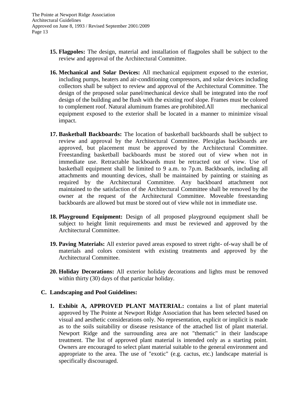- **15. Flagpoles:** The design, material and installation of flagpoles shall be subject to the review and approval of the Architectural Committee.
- **16. Mechanical and Solar Devices:** All mechanical equipment exposed to the exterior, including pumps, heaters and air-conditioning compressors, and solar devices including collectors shall be subject to review and approval of the Architectural Committee. The design of the proposed solar panel/mechanical device shall be integrated into the roof design of the building and be flush with the existing roof slope. Frames must be colored to complement roof. Natural aluminum frames are prohibited.All mechanical equipment exposed to the exterior shall be located in a manner to minimize visual impact.
- **17. Basketball Backboards:** The location of basketball backboards shall be subject to review and approval by the Architectural Committee. Plexiglas backboards are approved, but placement must be approved by the Architectural Committee. Freestanding basketball backboards must be stored out of view when not in immediate use. Retractable backboards must be retracted out of view. Use of basketball equipment shall be limited to 9 a.m. to 7p.m. Backboards, including all attachments and mounting devices, shall be maintained by painting or staining as required by the Architectural Committee. Any backboard attachment not maintained to the satisfaction of the Architectural Committee shall be removed by the owner at the request of the Architectural Committee. Moveable freestanding backboards are allowed but must be stored out of view while not in immediate use.
- **18. Playground Equipment:** Design of all proposed playground equipment shall be subject to height limit requirements and must be reviewed and approved by the Architectural Committee.
- **19. Paving Materials:** All exterior paved areas exposed to street right- of-way shall be of materials and colors consistent with existing treatments and approved by the Architectural Committee.
- **20. Holiday Decorations:** All exterior holiday decorations and lights must be removed within thirty (30) days of that particular holiday.

#### **C. Landscaping and Pool Guidelines:**

**1. Exhibit A, APPROVED PLANT MATERIAL:** contains a list of plant material approved by The Pointe at Newport Ridge Association that has been selected based on visual and aesthetic considerations only. No representation, explicit or implicit is made as to the soils suitability or disease resistance of the attached list of plant material. Newport Ridge and the surrounding area are not "thematic" in their landscape treatment. The list of approved plant material is intended only as a starting point. Owners are encouraged to select plant material suitable to the general environment and appropriate to the area. The use of "exotic" (e.g. cactus, etc.) landscape material is specifically discouraged.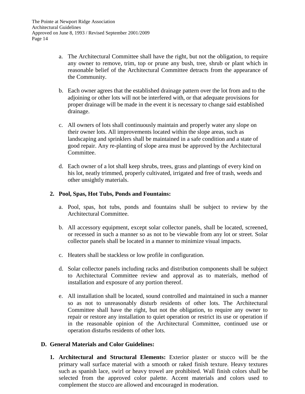- a. The Architectural Committee shall have the right, but not the obligation, to require any owner to remove, trim, top or prune any bush, tree, shrub or plant which in reasonable belief of the Architectural Committee detracts from the appearance of the Community.
- b. Each owner agrees that the established drainage pattern over the lot from and to the adjoining or other lots will not be interfered with, or that adequate provisions for proper drainage will be made in the event it is necessary to change said established drainage.
- c. All owners of lots shall continuously maintain and properly water any slope on their owner lots. All improvements located within the slope areas, such as landscaping and sprinklers shall be maintained in a safe condition and a state of good repair. Any re-planting of slope area must be approved by the Architectural Committee.
- d. Each owner of a lot shall keep shrubs, trees, grass and plantings of every kind on his lot, neatly trimmed, properly cultivated, irrigated and free of trash, weeds and other unsightly materials.

#### **2. Pool, Spas, Hot Tubs, Ponds and Fountains:**

- a. Pool, spas, hot tubs, ponds and fountains shall be subject to review by the Architectural Committee.
- b. All accessory equipment, except solar collector panels, shall be located, screened, or recessed in such a manner so as not to be viewable from any lot or street. Solar collector panels shall be located in a manner to minimize visual impacts.
- c. Heaters shall be stackless or low profile in configuration.
- d. Solar collector panels including racks and distribution components shall be subject to Architectural Committee review and approval as to materials, method of installation and exposure of any portion thereof.
- e. All installation shall be located, sound controlled and maintained in such a manner so as not to unreasonably disturb residents of other lots. The Architectural Committee shall have the right, but not the obligation, to require any owner to repair or restore any installation to quiet operation or restrict its use or operation if in the reasonable opinion of the Architectural Committee, continued use or operation disturbs residents of other lots.

#### **D. General Materials and Color Guidelines:**

**1. Architectural and Structural Elements:** Exterior plaster or stucco will be the primary wall surface material with a smooth or raked finish texture. Heavy textures such as spanish lace, swirl or heavy trowel are prohibited. Wall finish colors shall be selected from the approved color palette. Accent materials and colors used to complement the stucco are allowed and encouraged in moderation.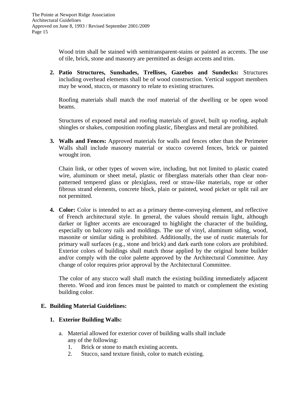Wood trim shall be stained with semitransparent-stains or painted as accents. The use of tile, brick, stone and masonry are permitted as design accents and trim.

**2. Patio Structures, Sunshades, Trellises, Gazebos and Sundecks:** Structures including overhead elements shall be of wood construction. Vertical support members may be wood, stucco, or masonry to relate to existing structures.

Roofing materials shall match the roof material of the dwelling or be open wood beams.

Structures of exposed metal and roofing materials of gravel, built up roofing, asphalt shingles or shakes, composition roofing plastic, fiberglass and metal are prohibited.

**3. Walls and Fences:** Approved materials for walls and fences other than the Perimeter Walls shall include masonry material or stucco covered fences, brick or painted wrought iron.

Chain link, or other types of woven wire, including, but not limited to plastic coated wire, aluminum or sheet metal, plastic or fiberglass materials other than clear nonpatterned tempered glass or plexiglass, reed or straw-like materials, rope or other fibrous strand elements, concrete block, plain or painted, wood picket or split rail are not permitted.

**4. Color:** Color is intended to act as a primary theme-conveying element, and reflective of French architectural style. In general, the values should remain light, although darker or lighter accents are encouraged to highlight the character of the building, especially on balcony rails and moldings. The use of vinyl, aluminum siding, wood, masonite or similar siding is prohibited. Additionally, the use of rustic materials for primary wall surfaces (e.g., stone and brick) and dark earth tone colors are prohibited. Exterior colors of buildings shall match those applied by the original home builder and/or comply with the color palette approved by the Architectural Committee. Any change of color requires prior approval by the Architectural Committee.

The color of any stucco wall shall match the existing building immediately adjacent thereto. Wood and iron fences must be painted to match or complement the existing building color.

#### **E. Building Material Guidelines:**

#### **1. Exterior Building Walls:**

- a. Material allowed for exterior cover of building walls shall include any of the following:
	- 1. Brick or stone to match existing accents.
	- 2. Stucco, sand texture finish, color to match existing.